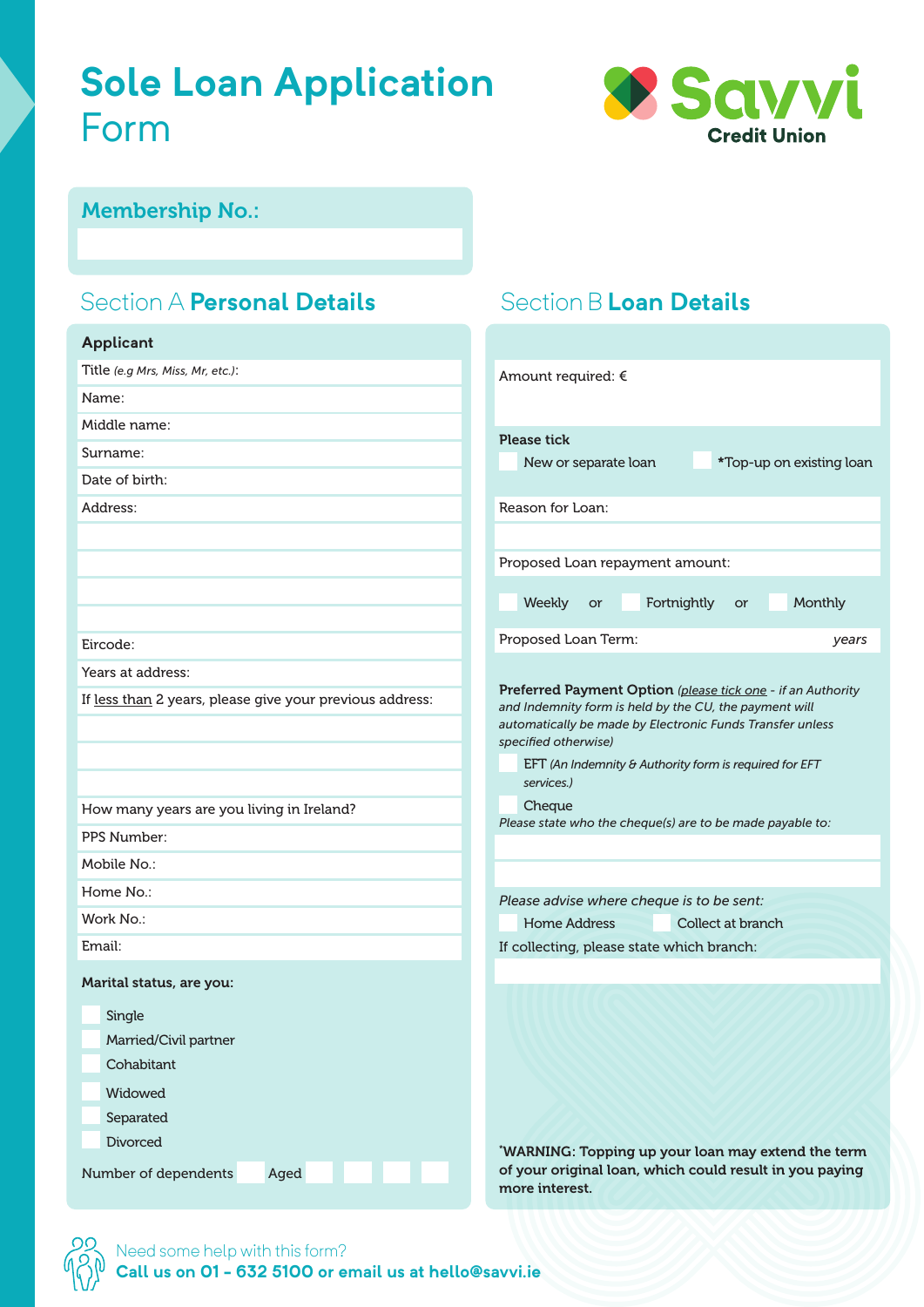# **Sole Loan Application** Form



Section B **Loan Details**

#### Membership No.:

## Section A **Personal Details**

| <b>Applicant</b>                                                                                                     |                                                                                                                                                                                                                                                                                    |  |  |
|----------------------------------------------------------------------------------------------------------------------|------------------------------------------------------------------------------------------------------------------------------------------------------------------------------------------------------------------------------------------------------------------------------------|--|--|
| Title (e.g Mrs, Miss, Mr, etc.):                                                                                     | Amount required: €                                                                                                                                                                                                                                                                 |  |  |
| Name:                                                                                                                |                                                                                                                                                                                                                                                                                    |  |  |
| Middle name:                                                                                                         | <b>Please tick</b>                                                                                                                                                                                                                                                                 |  |  |
| Surname:                                                                                                             | *Top-up on existing loan<br>New or separate loan                                                                                                                                                                                                                                   |  |  |
| Date of birth:                                                                                                       |                                                                                                                                                                                                                                                                                    |  |  |
| Address:                                                                                                             | Reason for Loan:                                                                                                                                                                                                                                                                   |  |  |
|                                                                                                                      |                                                                                                                                                                                                                                                                                    |  |  |
|                                                                                                                      | Proposed Loan repayment amount:                                                                                                                                                                                                                                                    |  |  |
|                                                                                                                      | Fortnightly<br>Monthly<br>Weekly<br>or<br>or                                                                                                                                                                                                                                       |  |  |
| Eircode:                                                                                                             | Proposed Loan Term:<br>years                                                                                                                                                                                                                                                       |  |  |
| Years at address:                                                                                                    |                                                                                                                                                                                                                                                                                    |  |  |
| If less than 2 years, please give your previous address:                                                             | Preferred Payment Option (please tick one - if an Authority<br>and Indemnity form is held by the CU, the payment will<br>automatically be made by Electronic Funds Transfer unless<br>specified otherwise)<br>EFT (An Indemnity & Authority form is required for EFT<br>services.) |  |  |
| How many years are you living in Ireland?                                                                            | Cheque                                                                                                                                                                                                                                                                             |  |  |
| PPS Number:                                                                                                          | Please state who the cheque(s) are to be made payable to:                                                                                                                                                                                                                          |  |  |
| Mobile No.:                                                                                                          |                                                                                                                                                                                                                                                                                    |  |  |
| Home No.:                                                                                                            | Please advise where cheque is to be sent:                                                                                                                                                                                                                                          |  |  |
| Work No.:                                                                                                            | <b>Home Address</b><br>Collect at branch                                                                                                                                                                                                                                           |  |  |
| Email:                                                                                                               | If collecting, please state which branch:                                                                                                                                                                                                                                          |  |  |
| Marital status, are you:<br>Single<br>Married/Civil partner<br>Cohabitant<br>Widowed<br>Separated<br><b>Divorced</b> |                                                                                                                                                                                                                                                                                    |  |  |
| Number of dependents<br>Aged                                                                                         | 'WARNING: Topping up your loan may extend the term<br>of your original loan, which could result in you paying<br>more interest.                                                                                                                                                    |  |  |

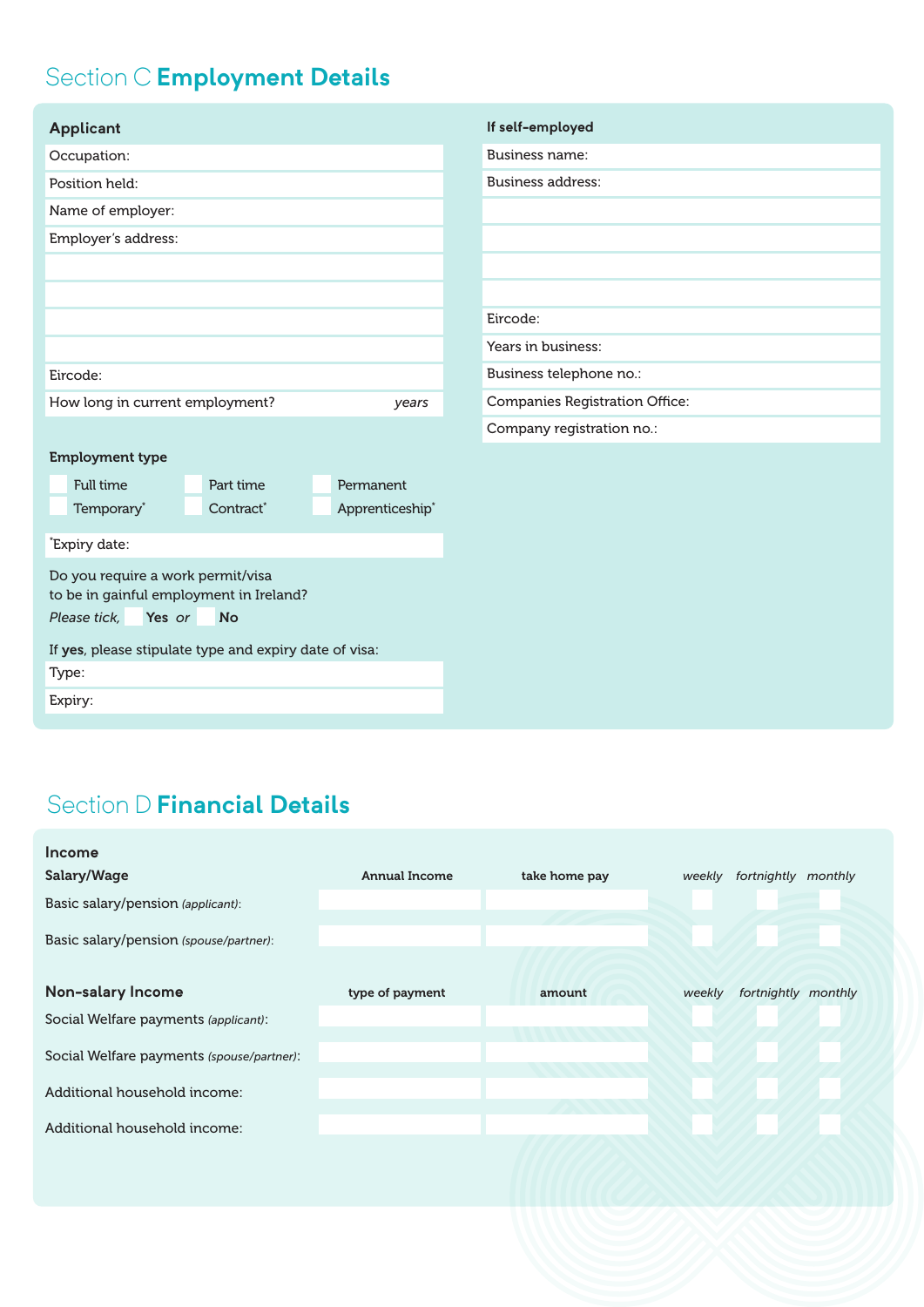## Section C **Employment Details**

| <b>Applicant</b>                                                                                                    | If self-employed                      |
|---------------------------------------------------------------------------------------------------------------------|---------------------------------------|
| Occupation:                                                                                                         | <b>Business name:</b>                 |
| Position held:                                                                                                      | <b>Business address:</b>              |
| Name of employer:                                                                                                   |                                       |
| Employer's address:                                                                                                 |                                       |
|                                                                                                                     |                                       |
|                                                                                                                     |                                       |
|                                                                                                                     | Eircode:                              |
|                                                                                                                     | Years in business:                    |
| Eircode:                                                                                                            | Business telephone no.:               |
| How long in current employment?<br>years                                                                            | <b>Companies Registration Office:</b> |
|                                                                                                                     | Company registration no.:             |
| <b>Employment type</b>                                                                                              |                                       |
| <b>Full time</b><br>Part time<br>Permanent                                                                          |                                       |
| Temporary*<br>Contract*<br>Apprenticeship*                                                                          |                                       |
| Expiry date:                                                                                                        |                                       |
| Do you require a work permit/visa<br>to be in gainful employment in Ireland?<br>Please tick,<br>Yes or<br><b>No</b> |                                       |
| If yes, please stipulate type and expiry date of visa:                                                              |                                       |
| Type:                                                                                                               |                                       |
| Expiry:                                                                                                             |                                       |
|                                                                                                                     |                                       |

## Section D **Financial Details**

| <b>Income</b>                             |                      |               |        |                     |
|-------------------------------------------|----------------------|---------------|--------|---------------------|
| Salary/Wage                               | <b>Annual Income</b> | take home pay | weekly | fortnightly monthly |
| Basic salary/pension (applicant):         |                      |               |        |                     |
| Basic salary/pension (spouse/partner):    |                      |               |        |                     |
| Non-salary Income                         | type of payment      | amount        | weekly | fortnightly monthly |
| Social Welfare payments (applicant):      |                      |               |        |                     |
| Social Welfare payments (spouse/partner): |                      |               |        |                     |
| Additional household income:              |                      |               |        |                     |
| Additional household income:              |                      |               |        |                     |
|                                           |                      |               |        |                     |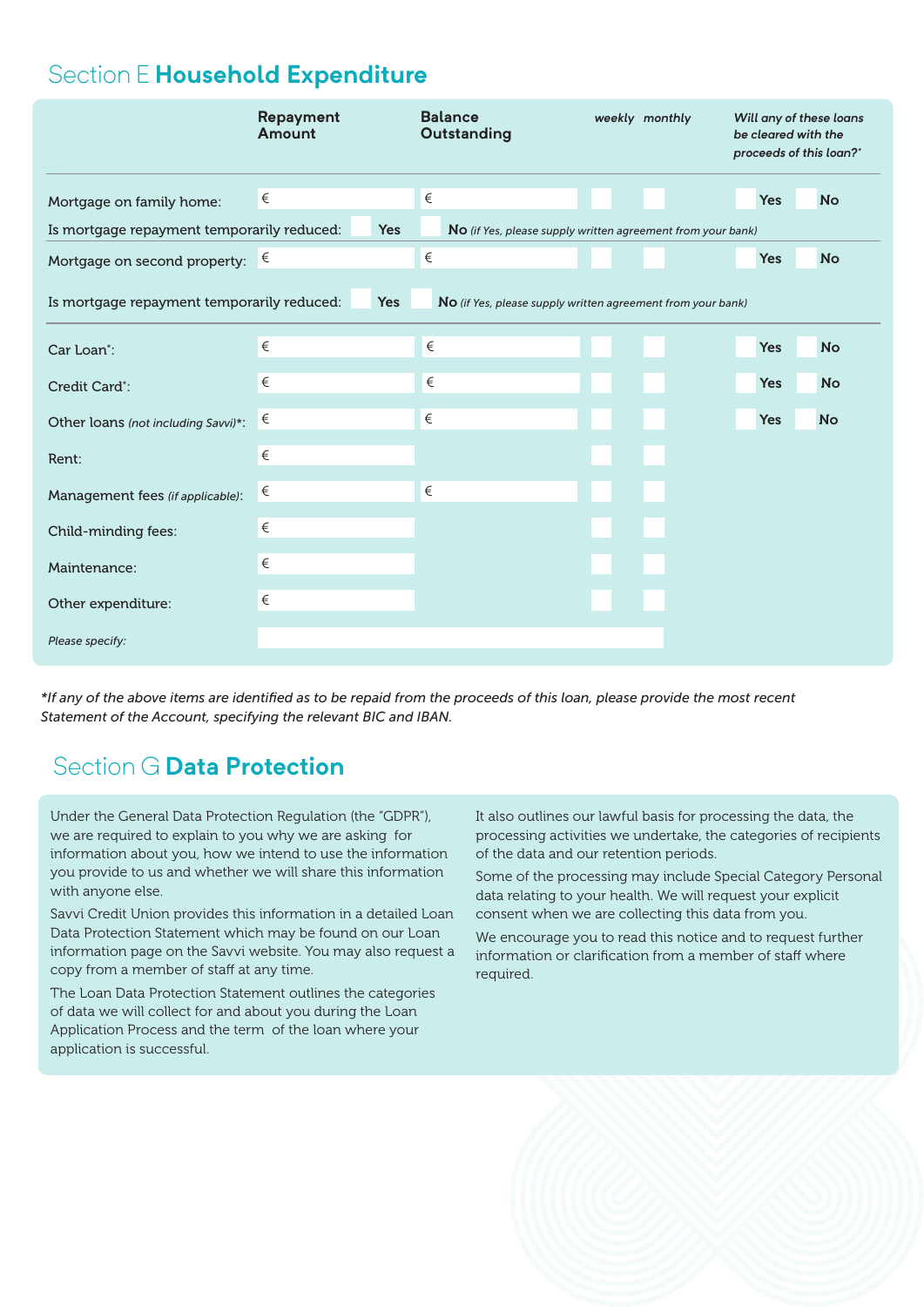## Section E **Household Expenditure**

|                                                                                                                         | Repayment<br>Amount | <b>Balance</b><br>Outstanding                                        | weekly monthly | Will any of these loans<br>be cleared with the<br>proceeds of this loan?* |
|-------------------------------------------------------------------------------------------------------------------------|---------------------|----------------------------------------------------------------------|----------------|---------------------------------------------------------------------------|
| Mortgage on family home:<br>Is mortgage repayment temporarily reduced:                                                  | €<br><b>Yes</b>     | $\in$<br>No (if Yes, please supply written agreement from your bank) |                | <b>Yes</b><br><b>No</b>                                                   |
| Mortgage on second property: $\epsilon$                                                                                 |                     | $\in$                                                                |                | <b>Yes</b><br><b>No</b>                                                   |
| Is mortgage repayment temporarily reduced:<br><b>Yes</b><br>No (if Yes, please supply written agreement from your bank) |                     |                                                                      |                |                                                                           |
| Car Loan <sup>*</sup> :                                                                                                 | €                   | €                                                                    |                | <b>Yes</b><br><b>No</b>                                                   |
| Credit Card*:                                                                                                           | €                   | €                                                                    |                | <b>Yes</b><br><b>No</b>                                                   |
| Other loans (not including Savvi)*:                                                                                     | €                   | €                                                                    |                | <b>Yes</b><br><b>No</b>                                                   |
| Rent:                                                                                                                   | €                   |                                                                      |                |                                                                           |
| Management fees (if applicable):                                                                                        | €                   | $\in$                                                                |                |                                                                           |
| Child-minding fees:                                                                                                     | €                   |                                                                      |                |                                                                           |
| Maintenance:                                                                                                            | €                   |                                                                      |                |                                                                           |
| Other expenditure:                                                                                                      | €                   |                                                                      |                |                                                                           |
| Please specify:                                                                                                         |                     |                                                                      |                |                                                                           |

*\*If any of the above items are identifi ed as to be repaid from the proceeds of this loan, please provide the most recent Statement of the Account, specifying the relevant BIC and IBAN.*

## Section G **Data Protection**

Under the General Data Protection Regulation (the "GDPR"), we are required to explain to you why we are asking for information about you, how we intend to use the information you provide to us and whether we will share this information with anyone else.

Savvi Credit Union provides this information in a detailed Loan Data Protection Statement which may be found on our Loan information page on the Savvi website. You may also request a copy from a member of staff at any time.

The Loan Data Protection Statement outlines the categories of data we will collect for and about you during the Loan Application Process and the term of the loan where your application is successful.

It also outlines our lawful basis for processing the data, the processing activities we undertake, the categories of recipients of the data and our retention periods.

Some of the processing may include Special Category Personal data relating to your health. We will request your explicit consent when we are collecting this data from you.

We encourage you to read this notice and to request further information or clarification from a member of staff where required.